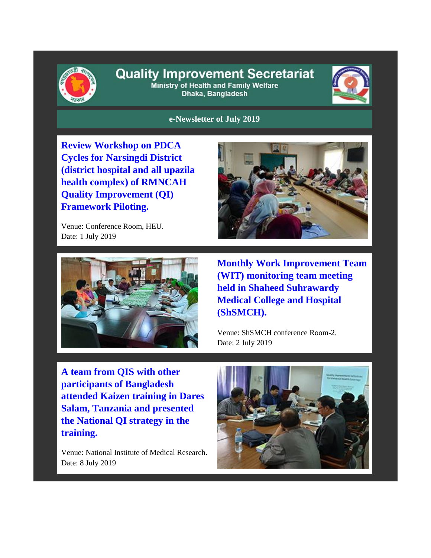

## **Quality Improvement Secretariat** Ministry of Health and Family Welfare

Dhaka, Bangladesh



**e-Newsletter of July 2019**

**Review Workshop on PDCA Cycles for Narsingdi District (district hospital and all upazila health complex) of RMNCAH Quality Improvement (QI) Framework Piloting.**

Venue: Conference Room, HEU. Date: 1 July 2019





**Monthly Work Improvement Team (WIT) monitoring team meeting held in Shaheed Suhrawardy Medical College and Hospital (ShSMCH).** 

Venue: ShSMCH conference Room-2. Date: 2 July 2019

**A team from QIS with other participants of Bangladesh attended Kaizen training in Dares Salam, Tanzania and presented the National QI strategy in the training.**

Venue: National Institute of Medical Research. Date: 8 July 2019

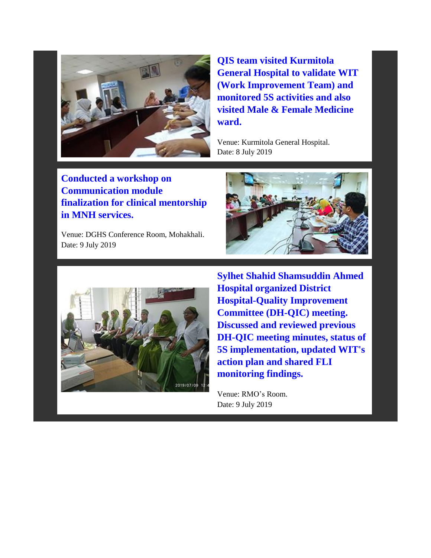

**QIS team visited Kurmitola General Hospital to validate WIT (Work Improvement Team) and monitored 5S activities and also visited Male & Female Medicine ward.** 

Venue: Kurmitola General Hospital. Date: 8 July 2019

**Conducted a workshop on Communication module finalization for clinical mentorship in MNH services.**

Venue: DGHS Conference Room, Mohakhali. Date: 9 July 2019





**Sylhet Shahid Shamsuddin Ahmed Hospital organized District Hospital-Quality Improvement Committee (DH-QIC) meeting. Discussed and reviewed previous DH-QIC meeting minutes, status of 5S implementation, updated WIT's action plan and shared FLI monitoring findings.**

Venue: RMO's Room. Date: 9 July 2019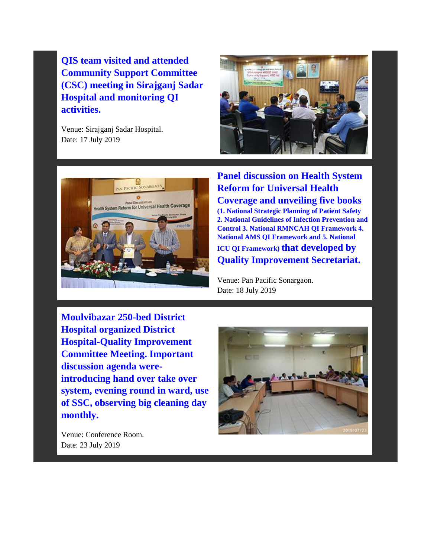**QIS team visited and attended Community Support Committee (CSC) meeting in Sirajganj Sadar Hospital and monitoring QI activities.**

Venue: Sirajganj Sadar Hospital. Date: 17 July 2019





**Panel discussion on Health System Reform for Universal Health Coverage and unveiling five books (1. National Strategic Planning of Patient Safety 2. National Guidelines of Infection Prevention and Control 3. National RMNCAH QI Framework 4. National AMS QI Framework and 5. National ICU QI Framework) that developed by Quality Improvement Secretariat.** 

Venue: Pan Pacific Sonargaon. Date: 18 July 2019

**Moulvibazar 250-bed District Hospital organized District Hospital-Quality Improvement Committee Meeting. Important discussion agenda wereintroducing hand over take over system, evening round in ward, use of SSC, observing big cleaning day monthly.**



Venue: Conference Room. Date: 23 July 2019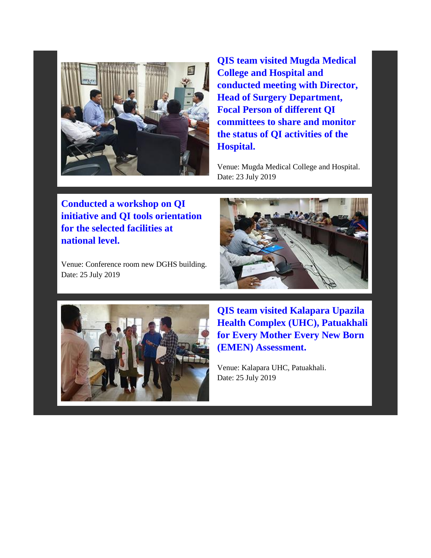

**QIS team visited Mugda Medical College and Hospital and conducted meeting with Director, Head of Surgery Department, Focal Person of different QI committees to share and monitor the status of QI activities of the Hospital.** 

Venue: Mugda Medical College and Hospital. Date: 23 July 2019

**Conducted a workshop on QI initiative and QI tools orientation for the selected facilities at national level.**

Venue: Conference room new DGHS building. Date: 25 July 2019





**QIS team visited Kalapara Upazila Health Complex (UHC), Patuakhali for Every Mother Every New Born (EMEN) Assessment.** 

Venue: Kalapara UHC, Patuakhali. Date: 25 July 2019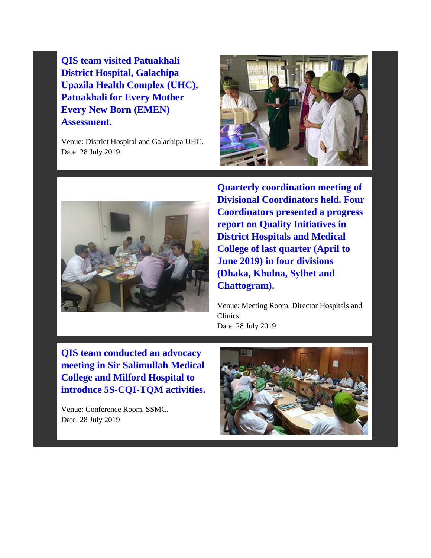**QIS team visited Patuakhali District Hospital, Galachipa Upazila Health Complex (UHC), Patuakhali for Every Mother Every New Born (EMEN) Assessment.**

Venue: District Hospital and Galachipa UHC. Date: 28 July 2019





**Quarterly coordination meeting of Divisional Coordinators held. Four Coordinators presented a progress report on Quality Initiatives in District Hospitals and Medical College of last quarter (April to June 2019) in four divisions (Dhaka, Khulna, Sylhet and Chattogram).** 

Venue: Meeting Room, Director Hospitals and Clinics. Date: 28 July 2019

**QIS team conducted an advocacy meeting in Sir Salimullah Medical College and Milford Hospital to introduce 5S-CQI-TQM activities.**

Venue: Conference Room, SSMC. Date: 28 July 2019